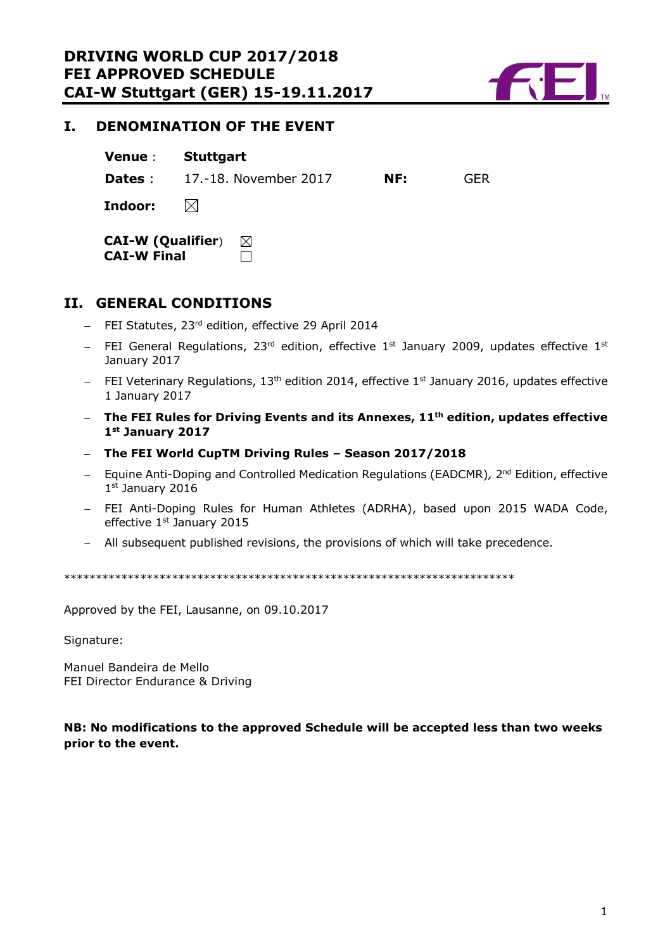

# <span id="page-0-0"></span>**I. DENOMINATION OF THE EVENT**

**Dates** : 17.-18. November 2017 **NF:** GER

 $\boxtimes$ **Indoor:**

**CAI-W (Qualifier**)  $\boxtimes$ **CAI-W Final**  $\Box$ 

# <span id="page-0-1"></span>**II. GENERAL CONDITIONS**

- $-$  FEI Statutes, 23<sup>rd</sup> edition, effective 29 April 2014
- FEI General Regulations, 23<sup>rd</sup> edition, effective 1<sup>st</sup> January 2009, updates effective 1<sup>st</sup> January 2017
- $-$  FEI Veterinary Regulations, 13<sup>th</sup> edition 2014, effective 1<sup>st</sup> January 2016, updates effective 1 January 2017
- **The FEI Rules for Driving Events and its Annexes, 11th edition, updates effective 1st January 2017**
- **The FEI World CupTM Driving Rules – Season 2017/2018**
- Equine Anti-Doping and Controlled Medication Regulations (EADCMR), 2<sup>nd</sup> Edition, effective 1st January 2016
- FEI Anti-Doping Rules for Human Athletes (ADRHA), based upon 2015 WADA Code, effective 1<sup>st</sup> January 2015
- All subsequent published revisions, the provisions of which will take precedence.

\*\*\*\*\*\*\*\*\*\*\*\*\*\*\*\*\*\*\*\*\*\*\*\*\*\*\*\*\*\*\*\*\*\*\*\*\*\*\*\*\*\*\*\*\*\*\*\*\*\*\*\*\*\*\*\*\*\*\*\*\*\*\*\*\*\*\*\*\*\*\*

Approved by the FEI, Lausanne, on 09.10.2017

Signature:

Manuel Bandeira de Mello FEI Director Endurance & Driving

# **NB: No modifications to the approved Schedule will be accepted less than two weeks prior to the event.**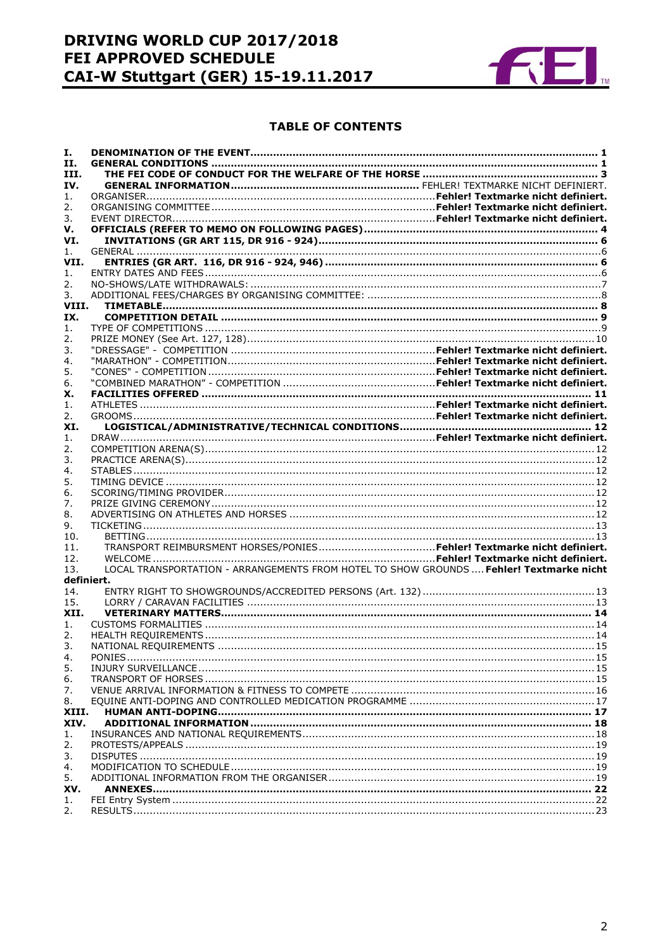# DRIVING WORLD CUP 2017/2018 **FEI APPROVED SCHEDULE CAI-W Stuttgart (GER) 15-19.11.2017**



#### **TABLE OF CONTENTS**

| Ι.    |                                                                                         |  |  |  |
|-------|-----------------------------------------------------------------------------------------|--|--|--|
| П.    |                                                                                         |  |  |  |
| III.  |                                                                                         |  |  |  |
| IV.   |                                                                                         |  |  |  |
| 1.    |                                                                                         |  |  |  |
| 2.    |                                                                                         |  |  |  |
| 3.    |                                                                                         |  |  |  |
| v.    |                                                                                         |  |  |  |
| VI.   |                                                                                         |  |  |  |
| 1.    |                                                                                         |  |  |  |
| VII.  |                                                                                         |  |  |  |
| 1.    |                                                                                         |  |  |  |
| 2.    |                                                                                         |  |  |  |
| 3.    |                                                                                         |  |  |  |
| VIII. |                                                                                         |  |  |  |
| IX.   |                                                                                         |  |  |  |
|       |                                                                                         |  |  |  |
| 1.    |                                                                                         |  |  |  |
| 2.    |                                                                                         |  |  |  |
| 3.    |                                                                                         |  |  |  |
| 4.    |                                                                                         |  |  |  |
| 5.    |                                                                                         |  |  |  |
| 6.    |                                                                                         |  |  |  |
| х.    |                                                                                         |  |  |  |
| 1.    |                                                                                         |  |  |  |
| 2.    |                                                                                         |  |  |  |
| XI.   |                                                                                         |  |  |  |
| 1.    |                                                                                         |  |  |  |
| 2.    |                                                                                         |  |  |  |
| 3.    |                                                                                         |  |  |  |
| 4.    |                                                                                         |  |  |  |
| 5.    |                                                                                         |  |  |  |
| 6.    |                                                                                         |  |  |  |
| 7.    |                                                                                         |  |  |  |
| 8.    |                                                                                         |  |  |  |
| 9.    |                                                                                         |  |  |  |
| 10.   |                                                                                         |  |  |  |
| 11.   |                                                                                         |  |  |  |
| 12.   |                                                                                         |  |  |  |
| 13.   | LOCAL TRANSPORTATION - ARRANGEMENTS FROM HOTEL TO SHOW GROUNDS  Fehler! Textmarke nicht |  |  |  |
|       | definiert.                                                                              |  |  |  |
| 14.   |                                                                                         |  |  |  |
| 15.   |                                                                                         |  |  |  |
| XII.  |                                                                                         |  |  |  |
| 1.    |                                                                                         |  |  |  |
| 2.    |                                                                                         |  |  |  |
| 3.    |                                                                                         |  |  |  |
| 4.    |                                                                                         |  |  |  |
| 5.    |                                                                                         |  |  |  |
| 6.    |                                                                                         |  |  |  |
|       |                                                                                         |  |  |  |
| 7.    |                                                                                         |  |  |  |
| 8.    |                                                                                         |  |  |  |
| XIII. |                                                                                         |  |  |  |
| XIV.  |                                                                                         |  |  |  |
| 1.    |                                                                                         |  |  |  |
| 2.    |                                                                                         |  |  |  |
| 3.    |                                                                                         |  |  |  |
| 4.    |                                                                                         |  |  |  |
| 5.    |                                                                                         |  |  |  |
| XV.   |                                                                                         |  |  |  |
| 1.    |                                                                                         |  |  |  |
| 2.    |                                                                                         |  |  |  |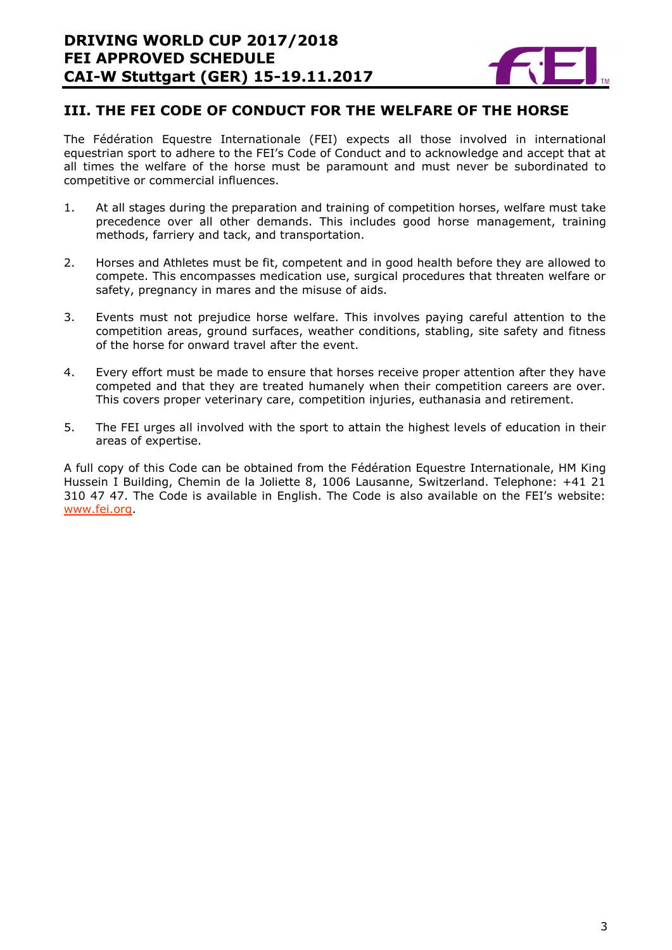

# <span id="page-2-0"></span>**III. THE FEI CODE OF CONDUCT FOR THE WELFARE OF THE HORSE**

The Fédération Equestre Internationale (FEI) expects all those involved in international equestrian sport to adhere to the FEI's Code of Conduct and to acknowledge and accept that at all times the welfare of the horse must be paramount and must never be subordinated to competitive or commercial influences.

- 1. At all stages during the preparation and training of competition horses, welfare must take precedence over all other demands. This includes good horse management, training methods, farriery and tack, and transportation.
- 2. Horses and Athletes must be fit, competent and in good health before they are allowed to compete. This encompasses medication use, surgical procedures that threaten welfare or safety, pregnancy in mares and the misuse of aids.
- 3. Events must not prejudice horse welfare. This involves paying careful attention to the competition areas, ground surfaces, weather conditions, stabling, site safety and fitness of the horse for onward travel after the event.
- 4. Every effort must be made to ensure that horses receive proper attention after they have competed and that they are treated humanely when their competition careers are over. This covers proper veterinary care, competition injuries, euthanasia and retirement.
- 5. The FEI urges all involved with the sport to attain the highest levels of education in their areas of expertise.

<span id="page-2-1"></span>A full copy of this Code can be obtained from the Fédération Equestre Internationale, HM King Hussein I Building, Chemin de la Joliette 8, 1006 Lausanne, Switzerland. Telephone: +41 21 310 47 47. The Code is available in English. The Code is also available on the FEI's website: [www.fei.org.](http://www.fei.org/)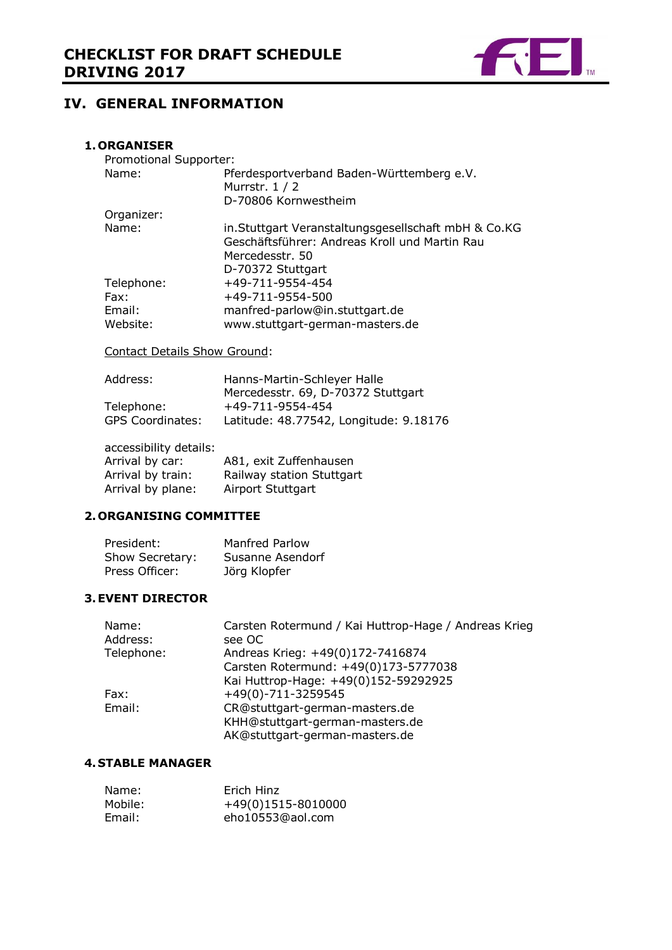

# **IV. GENERAL INFORMATION**

## **1. ORGANISER**

| Promotional Supporter:       |                                                                                                                                               |
|------------------------------|-----------------------------------------------------------------------------------------------------------------------------------------------|
| Name:                        | Pferdesportverband Baden-Württemberg e.V.<br>Murrstr. 1 / 2                                                                                   |
|                              | D-70806 Kornwestheim                                                                                                                          |
| Organizer:                   |                                                                                                                                               |
| Name:                        | in. Stuttgart Veranstaltungsgesellschaft mbH & Co.KG<br>Geschäftsführer: Andreas Kroll und Martin Rau<br>Mercedesstr. 50<br>D-70372 Stuttgart |
| Telephone:                   | +49-711-9554-454                                                                                                                              |
| Fax:                         | +49-711-9554-500                                                                                                                              |
| Email:                       | manfred-parlow@in.stuttgart.de                                                                                                                |
| Website:                     | www.stuttgart-german-masters.de                                                                                                               |
| Contact Dotaile Chow Crounds |                                                                                                                                               |

Contact Details Show Ground:

| Hanns-Martin-Schleyer Halle            |  |  |
|----------------------------------------|--|--|
| Mercedesstr. 69, D-70372 Stuttgart     |  |  |
| +49-711-9554-454                       |  |  |
| Latitude: 48.77542, Longitude: 9.18176 |  |  |
|                                        |  |  |

accessibility details:

| Arrival by car:   | A81, exit Zuffenhausen    |
|-------------------|---------------------------|
| Arrival by train: | Railway station Stuttgart |
| Arrival by plane: | Airport Stuttgart         |

# **2. ORGANISING COMMITTEE**

| President:      | <b>Manfred Parlow</b> |
|-----------------|-----------------------|
| Show Secretary: | Susanne Asendorf      |
| Press Officer:  | Jörg Klopfer          |

#### **3.EVENT DIRECTOR**

| Name:<br>Address: | Carsten Rotermund / Kai Huttrop-Hage / Andreas Krieg<br>see OC |
|-------------------|----------------------------------------------------------------|
| Telephone:        | Andreas Krieg: +49(0)172-7416874                               |
|                   | Carsten Rotermund: +49(0)173-5777038                           |
|                   | Kai Huttrop-Hage: +49(0)152-59292925                           |
| Fax:              | +49(0)-711-3259545                                             |
| Email:            | CR@stuttgart-german-masters.de                                 |
|                   | KHH@stuttgart-german-masters.de                                |
|                   | AK@stuttgart-german-masters.de                                 |

## **4. STABLE MANAGER**

| Name:   | Erich Hinz         |
|---------|--------------------|
| Mobile: | +49(0)1515-8010000 |
| Email:  | eho10553@aol.com   |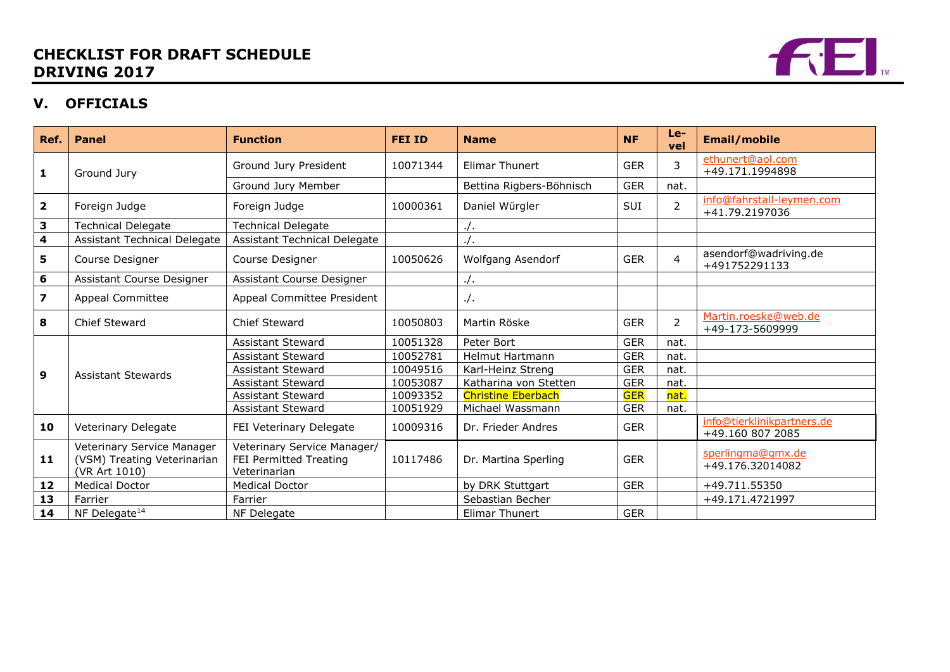# **CHECKLIST FOR DRAFT SCHEDULE DRIVING 2017**



# **V. OFFICIALS**

<span id="page-4-0"></span>

| Ref.                    | <b>Panel</b>                                                               | <b>Function</b>                                                       | <b>FEI ID</b> | <b>Name</b>               | <b>NF</b>  | Le-<br>vel     | <b>Email/mobile</b>                            |
|-------------------------|----------------------------------------------------------------------------|-----------------------------------------------------------------------|---------------|---------------------------|------------|----------------|------------------------------------------------|
| 1                       | Ground Jury                                                                | Ground Jury President                                                 | 10071344      | <b>Elimar Thunert</b>     | <b>GER</b> | 3              | ethunert@aol.com<br>+49.171.1994898            |
|                         |                                                                            | Ground Jury Member                                                    |               | Bettina Rigbers-Böhnisch  | <b>GER</b> | nat.           |                                                |
| $\overline{\mathbf{2}}$ | Foreign Judge                                                              | Foreign Judge                                                         | 10000361      | Daniel Würgler            | SUI        | $\overline{2}$ | info@fahrstall-leymen.com<br>+41.79.2197036    |
| 3                       | <b>Technical Delegate</b>                                                  | <b>Technical Delegate</b>                                             |               | $\cdot$ /.                |            |                |                                                |
| 4                       | Assistant Technical Delegate                                               | Assistant Technical Delegate                                          |               | $\cdot$ /.                |            |                |                                                |
| 5                       | Course Designer                                                            | Course Designer                                                       | 10050626      | Wolfgang Asendorf         | <b>GER</b> | $\overline{4}$ | asendorf@wadriving.de<br>+491752291133         |
| 6                       | Assistant Course Designer                                                  | Assistant Course Designer                                             |               | $\cdot$ .                 |            |                |                                                |
| $\overline{\mathbf{z}}$ | Appeal Committee                                                           | Appeal Committee President                                            |               | $\cdot$ .                 |            |                |                                                |
| 8                       | Chief Steward                                                              | Chief Steward                                                         | 10050803      | Martin Röske              | <b>GER</b> | $\overline{2}$ | Martin.roeske@web.de<br>+49-173-5609999        |
|                         |                                                                            | <b>Assistant Steward</b>                                              | 10051328      | Peter Bort                | <b>GER</b> | nat.           |                                                |
|                         |                                                                            | <b>Assistant Steward</b>                                              | 10052781      | <b>Helmut Hartmann</b>    | <b>GER</b> | nat.           |                                                |
| 9                       | <b>Assistant Stewards</b>                                                  | <b>Assistant Steward</b>                                              | 10049516      | Karl-Heinz Streng         | <b>GER</b> | nat.           |                                                |
|                         |                                                                            | <b>Assistant Steward</b>                                              | 10053087      | Katharina von Stetten     | <b>GER</b> | nat.           |                                                |
|                         |                                                                            | <b>Assistant Steward</b>                                              | 10093352      | <b>Christine Eberbach</b> | <b>GER</b> | nat.           |                                                |
|                         |                                                                            | <b>Assistant Steward</b>                                              | 10051929      | Michael Wassmann          | <b>GER</b> | nat.           |                                                |
| 10                      | <b>Veterinary Delegate</b>                                                 | FEI Veterinary Delegate                                               | 10009316      | Dr. Frieder Andres        | <b>GER</b> |                | info@tierklinikpartners.de<br>+49.160 807 2085 |
| 11                      | Veterinary Service Manager<br>(VSM) Treating Veterinarian<br>(VR Art 1010) | Veterinary Service Manager/<br>FEI Permitted Treating<br>Veterinarian | 10117486      | Dr. Martina Sperling      | <b>GER</b> |                | sperlingma@gmx.de<br>+49.176.32014082          |
| 12                      | <b>Medical Doctor</b>                                                      | <b>Medical Doctor</b>                                                 |               | by DRK Stuttgart          | <b>GER</b> |                | +49.711.55350                                  |
| 13                      | Farrier                                                                    | Farrier                                                               |               | Sebastian Becher          |            |                | +49.171.4721997                                |
| 14                      | NF Delegate <sup>14</sup>                                                  | NF Delegate                                                           |               | <b>Elimar Thunert</b>     | <b>GER</b> |                |                                                |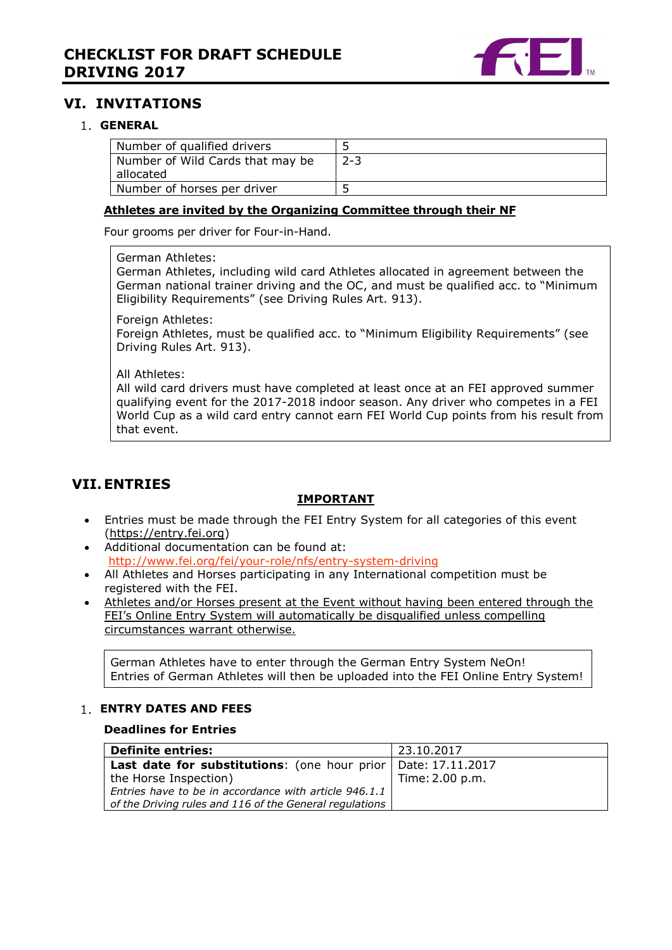

# **VI. INVITATIONS**

# <span id="page-5-0"></span>**GENERAL**

| Number of qualified drivers      |         |
|----------------------------------|---------|
| Number of Wild Cards that may be | $2 - 3$ |
| allocated                        |         |
| Number of horses per driver      |         |

#### **Athletes are invited by the Organizing Committee through their NF**

Four grooms per driver for Four-in-Hand.

German Athletes:

German Athletes, including wild card Athletes allocated in agreement between the German national trainer driving and the OC, and must be qualified acc. to "Minimum Eligibility Requirements" (see Driving Rules Art. 913).

Foreign Athletes:

Foreign Athletes, must be qualified acc. to "Minimum Eligibility Requirements" (see Driving Rules Art. 913).

All Athletes:

All wild card drivers must have completed at least once at an FEI approved summer qualifying event for the 2017-2018 indoor season. Any driver who competes in a FEI World Cup as a wild card entry cannot earn FEI World Cup points from his result from that event.

# <span id="page-5-1"></span>**VII.ENTRIES**

## **IMPORTANT**

- Entries must be made through the FEI Entry System for all categories of this event [\(https://entry.fei.org\)](https://entry.fei.org/)
- Additional documentation can be found at: <http://www.fei.org/fei/your-role/nfs/entry-system-driving>
- All Athletes and Horses participating in any International competition must be registered with the FEI.
- Athletes and/or Horses present at the Event without having been entered through the FEI's Online Entry System will automatically be disqualified unless compelling circumstances warrant otherwise.

German Athletes have to enter through the German Entry System NeOn! Entries of German Athletes will then be uploaded into the FEI Online Entry System!

#### <span id="page-5-2"></span>**ENTRY DATES AND FEES**

#### **Deadlines for Entries**

| <b>Definite entries:</b>                                        | 23.10.2017      |
|-----------------------------------------------------------------|-----------------|
| Last date for substitutions: (one hour prior   Date: 17.11.2017 |                 |
| the Horse Inspection)                                           | Time: 2.00 p.m. |
| Entries have to be in accordance with article 946.1.1           |                 |
| of the Driving rules and 116 of the General regulations         |                 |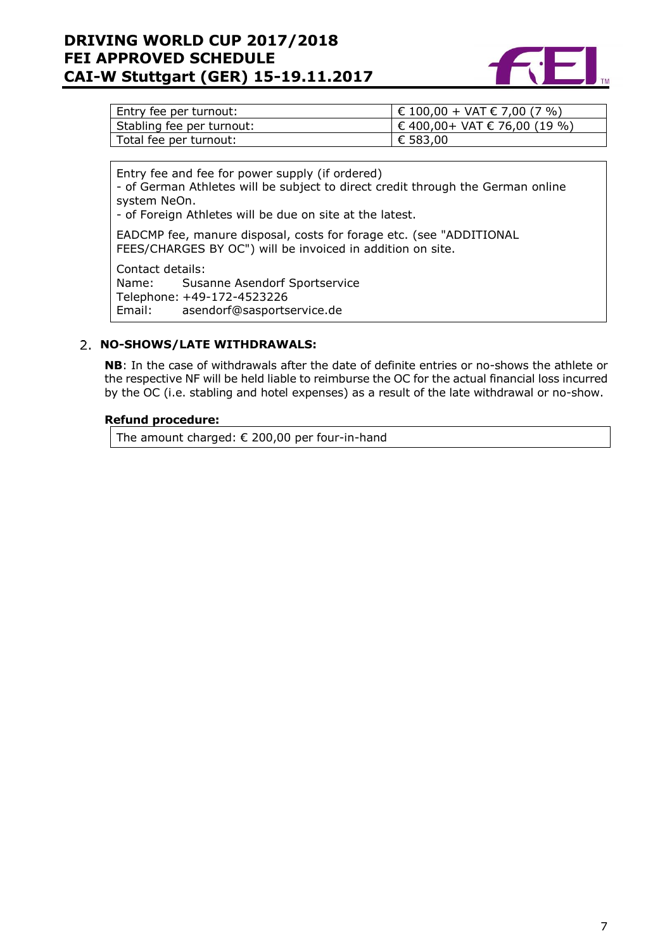# **DRIVING WORLD CUP 2017/2018 FEI APPROVED SCHEDULE CAI-W Stuttgart (GER) 15-19.11.2017**



| Entry fee per turnout:    | $\in$ 100,00 + VAT € 7,00 (7 %)  |
|---------------------------|----------------------------------|
| Stabling fee per turnout: | $\in$ 400,00+ VAT € 76,00 (19 %) |
| Total fee per turnout:    | € 583,00                         |

Entry fee and fee for power supply (if ordered)

- of German Athletes will be subject to direct credit through the German online system NeOn.

- of Foreign Athletes will be due on site at the latest.

EADCMP fee, manure disposal, costs for forage etc. (see "ADDITIONAL FEES/CHARGES BY OC") will be invoiced in addition on site.

Contact details:

Name: Susanne Asendorf Sportservice Telephone: +49-172-4523226 Email: asendorf@sasportservice.de

## <span id="page-6-0"></span>**NO-SHOWS/LATE WITHDRAWALS:**

**NB**: In the case of withdrawals after the date of definite entries or no-shows the athlete or the respective NF will be held liable to reimburse the OC for the actual financial loss incurred by the OC (i.e. stabling and hotel expenses) as a result of the late withdrawal or no-show.

## **Refund procedure:**

<span id="page-6-1"></span>The amount charged: € 200,00 per four-in-hand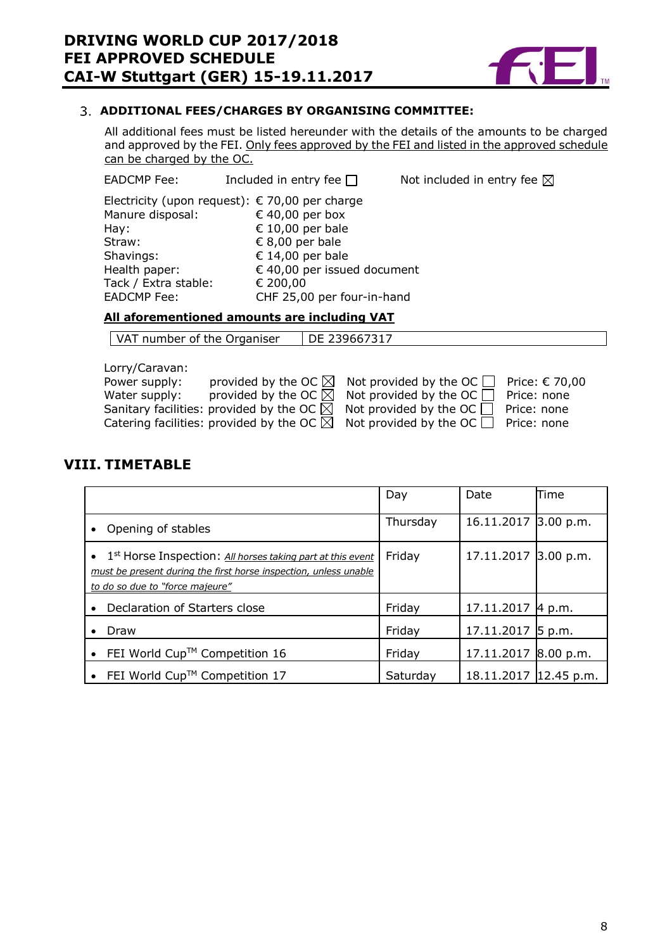

## **ADDITIONAL FEES/CHARGES BY ORGANISING COMMITTEE:**

All additional fees must be listed hereunder with the details of the amounts to be charged and approved by the FEI. Only fees approved by the FEI and listed in the approved schedule can be charged by the OC.

EADCMP Fee: Included in entry fee  $\Box$  Not included in entry fee  $\boxtimes$ 

Electricity (upon request):  $\epsilon$  70,00 per charge Manure disposal:  $640,00$  per box Hay:  $\epsilon$  10,00 per bale<br>Straw:  $\epsilon$  8.00 per bale Straw:  $\epsilon$  8,00 per bale<br>Shavings:  $\epsilon$  14,00 per bale € 14,00 per bale Health paper:  $640,00$  per issued document Tack / Extra stable: € 200,00<br>EADCMP Fee: 6 CHF 25.0 CHF 25,00 per four-in-hand

# **All aforementioned amounts are including VAT**

 $\sqrt{\text{VAT}}$  number of the Organiser  $\sqrt{\text{DE}}$  239667317

Lorry/Caravan: Power supply: provided by the OC  $\boxtimes$  Not provided by the OC  $\Box$  Price:  $\in$  70,00 Water supply: provided by the OC  $\boxtimes$  Not provided by the OC  $\Box$  Price: none Water supply: provided by the OC  $\boxtimes$  Not provided by the OC  $\Box$ Sanitary facilities: provided by the OC  $\boxtimes$  Not provided by the OC  $\Box$  Price: none Catering facilities: provided by the OC  $\boxtimes$  Not provided by the OC  $\Box$  Price: none

# <span id="page-7-0"></span>**VIII. TIMETABLE**

<span id="page-7-1"></span>

|                                                                                                                                                                                 | Day      | Date                  | Time |
|---------------------------------------------------------------------------------------------------------------------------------------------------------------------------------|----------|-----------------------|------|
| Opening of stables<br>$\bullet$                                                                                                                                                 | Thursday | 16.11.2017 3.00 p.m.  |      |
| • 1 <sup>st</sup> Horse Inspection: All horses taking part at this event<br>must be present during the first horse inspection, unless unable<br>to do so due to "force majeure" | Friday   | 17.11.2017 3.00 p.m.  |      |
| Declaration of Starters close<br>$\bullet$                                                                                                                                      | Friday   | 17.11.2017 4 p.m.     |      |
| Draw                                                                                                                                                                            | Friday   | 17.11.2017 5 p.m.     |      |
| FEI World Cup™ Competition 16<br>$\bullet$                                                                                                                                      | Friday   | 17.11.2017 8.00 p.m.  |      |
| FEI World Cup <sup>TM</sup> Competition 17<br>$\bullet$                                                                                                                         | Saturday | 18.11.2017 12.45 p.m. |      |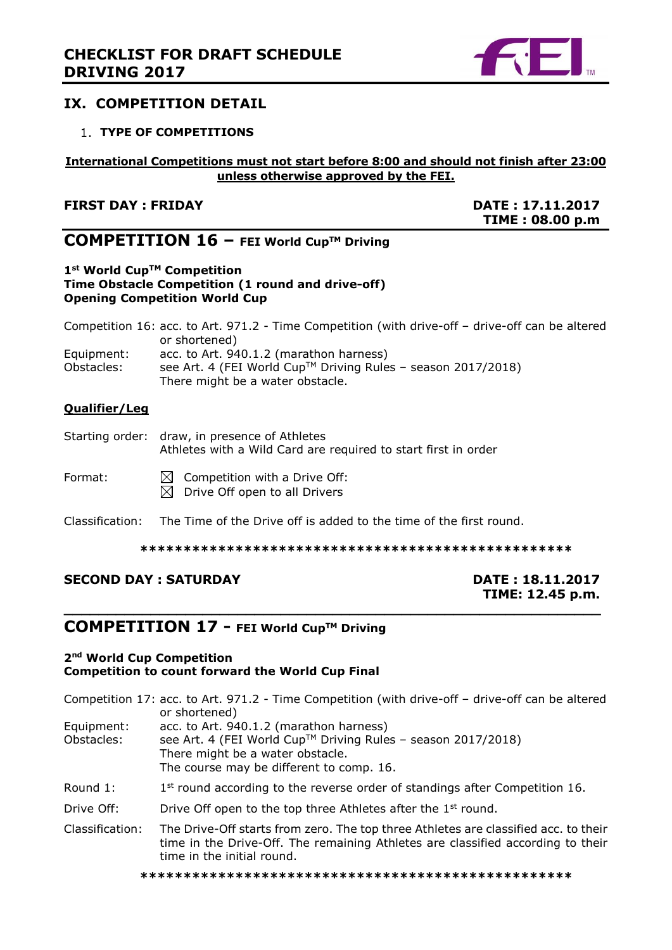

# **IX. COMPETITION DETAIL**

## <span id="page-8-0"></span>**TYPE OF COMPETITIONS**

## **International Competitions must not start before 8:00 and should not finish after 23:00 unless otherwise approved by the FEI.**

# **FIRST DAY : FRIDAY DATE : 17.11.2017**

**TIME : 08.00 p.m**

# **COMPETITION 16 – FEI World CupTM Driving**

#### **1st World CupTM Competition Time Obstacle Competition (1 round and drive-off) Opening Competition World Cup**

Competition 16: acc. to Art. 971.2 - Time Competition (with drive-off – drive-off can be altered or shortened) Equipment:  $\qquad$  acc. to Art. 940.1.2 (marathon harness)<br>Obstacles: see Art. 4 (FEI World Cup<sup>TM</sup> Driving Rule see Art. 4 (FEI World Cup™ Driving Rules – season 2017/2018) There might be a water obstacle.

#### **Qualifier/Leg**

| Starting order: draw, in presence of Athletes                  |
|----------------------------------------------------------------|
| Athletes with a Wild Card are required to start first in order |
|                                                                |

| Format: | $\boxtimes$ Competition with a Drive Off: |  |  |
|---------|-------------------------------------------|--|--|
|         | $\boxtimes$ Drive Off open to all Drivers |  |  |

Classification: The Time of the Drive off is added to the time of the first round.

**\*\*\*\*\*\*\*\*\*\*\*\*\*\*\*\*\*\*\*\*\*\*\*\*\*\*\*\*\*\*\*\*\*\*\*\*\*\*\*\*\*\*\*\*\*\*\*\*\*\***

**\_\_\_\_\_\_\_\_\_\_\_\_\_\_\_\_\_\_\_\_\_\_\_\_\_\_\_\_\_\_\_\_\_\_\_\_\_\_\_\_\_\_\_\_\_\_\_\_\_\_\_\_\_\_\_\_\_\_\_\_\_\_**

# **SECOND DAY : SATURDAY**  DATE : 18.11.2017

# **TIME: 12.45 p.m.**

# **COMPETITION 17 - FEI World CupTM Driving**

#### **2nd World Cup Competition Competition to count forward the World Cup Final**

|                          | Competition 17: acc. to Art. 971.2 - Time Competition (with drive-off - drive-off can be altered<br>or shortened)                                                                                    |
|--------------------------|------------------------------------------------------------------------------------------------------------------------------------------------------------------------------------------------------|
| Equipment:<br>Obstacles: | acc. to Art. 940.1.2 (marathon harness)<br>see Art. 4 (FEI World Cup™ Driving Rules - season 2017/2018)<br>There might be a water obstacle.<br>The course may be different to comp. 16.              |
| Round 1:                 | $1st$ round according to the reverse order of standings after Competition 16.                                                                                                                        |
| Drive Off:               | Drive Off open to the top three Athletes after the 1 <sup>st</sup> round.                                                                                                                            |
| Classification:          | The Drive-Off starts from zero. The top three Athletes are classified acc. to their<br>time in the Drive-Off. The remaining Athletes are classified according to their<br>time in the initial round. |

**\*\*\*\*\*\*\*\*\*\*\*\*\*\*\*\*\*\*\*\*\*\*\*\*\*\*\*\*\*\*\*\*\*\*\*\*\*\*\*\*\*\*\*\*\*\*\*\*\*\***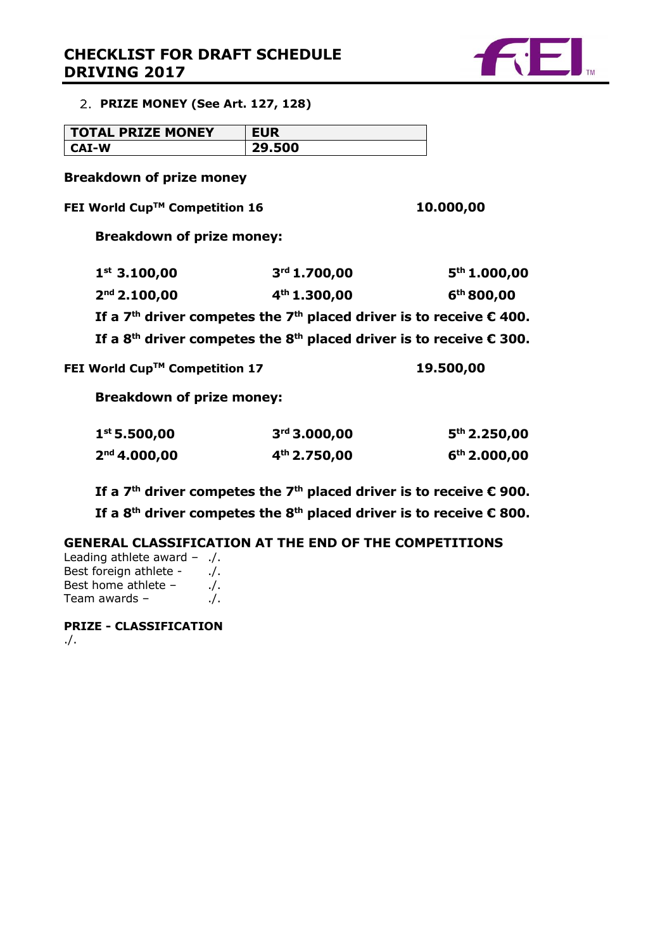# **CHECKLIST FOR DRAFT SCHEDULE DRIVING 2017**



<span id="page-9-0"></span>**PRIZE MONEY (See Art. 127, 128)**

| <b>TOTAL PRIZE MONEY</b> | <b>EUR</b> |
|--------------------------|------------|
| CAI-W                    | 29.500     |

**Breakdown of prize money**

**FEI World CupTM Competition 16 10.000,00**

**Breakdown of prize money:**

| $1^{st}$ 3.100,00        | 3 <sup>rd</sup> 1.700,00                                                                             | 5 <sup>th</sup> 1.000,00 |
|--------------------------|------------------------------------------------------------------------------------------------------|--------------------------|
| 2 <sup>nd</sup> 2.100,00 | 4 <sup>th</sup> 1.300,00                                                                             | 6 <sup>th</sup> 800,00   |
|                          | If a 7 <sup>th</sup> driver competes the 7 <sup>th</sup> placed driver is to receive $\epsilon$ 400. |                          |
|                          | If a 8 <sup>th</sup> driver competes the 8 <sup>th</sup> placed driver is to receive $\epsilon$ 300. |                          |
|                          |                                                                                                      |                          |

**FEI World CupTM Competition 17 19.500,00**

**Breakdown of prize money:**

| 1 <sup>st</sup> 5.500,00 | 3 <sup>rd</sup> 3.000,00 | 5 <sup>th</sup> 2.250,00 |
|--------------------------|--------------------------|--------------------------|
| $2nd$ 4.000,00           | $4th$ 2.750,00           | $6th$ 2.000,00           |

**If a 7th driver competes the 7th placed driver is to receive € 900.**

**If a 8th driver competes the 8th placed driver is to receive € 800.**

**GENERAL CLASSIFICATION AT THE END OF THE COMPETITIONS**

Leading athlete award – ./. Best foreign athlete - ./. Best home athlete  $-$  ./. Team awards  $-$  ...

<span id="page-9-1"></span>**PRIZE - CLASSIFICATION** ./.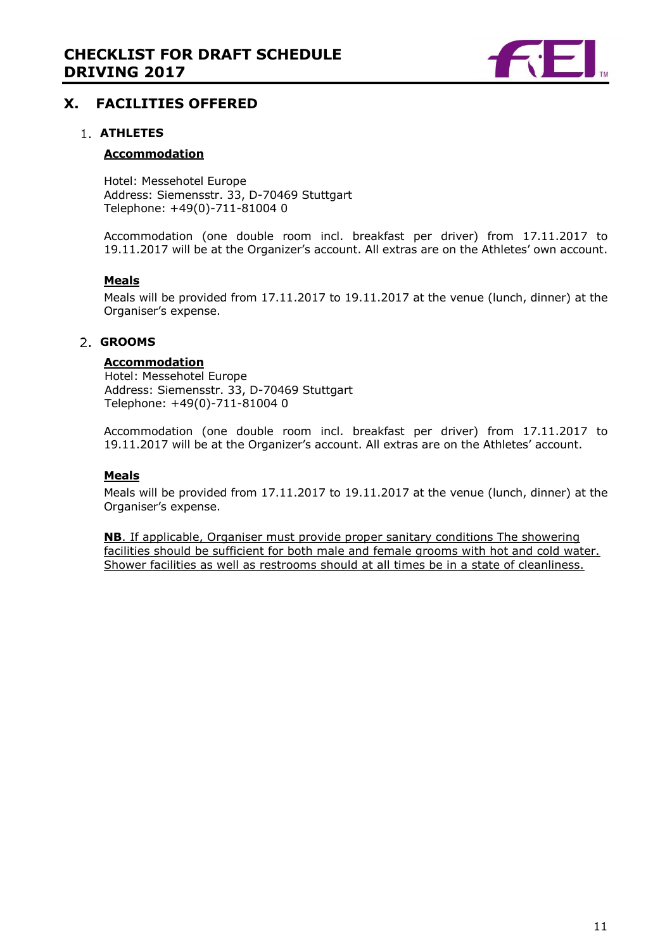

# **X. FACILITIES OFFERED**

#### **ATHLETES**

#### **Accommodation**

Hotel: Messehotel Europe Address: Siemensstr. 33, D-70469 Stuttgart Telephone: +49(0)-711-81004 0

Accommodation (one double room incl. breakfast per driver) from 17.11.2017 to 19.11.2017 will be at the Organizer's account. All extras are on the Athletes' own account.

#### **Meals**

Meals will be provided from 17.11.2017 to 19.11.2017 at the venue (lunch, dinner) at the Organiser's expense.

## **GROOMS**

#### **Accommodation**

Hotel: Messehotel Europe Address: Siemensstr. 33, D-70469 Stuttgart Telephone: +49(0)-711-81004 0

Accommodation (one double room incl. breakfast per driver) from 17.11.2017 to 19.11.2017 will be at the Organizer's account. All extras are on the Athletes' account.

#### **Meals**

Meals will be provided from 17.11.2017 to 19.11.2017 at the venue (lunch, dinner) at the Organiser's expense.

<span id="page-10-0"></span>**NB**. If applicable, Organiser must provide proper sanitary conditions The showering facilities should be sufficient for both male and female grooms with hot and cold water. Shower facilities as well as restrooms should at all times be in a state of cleanliness.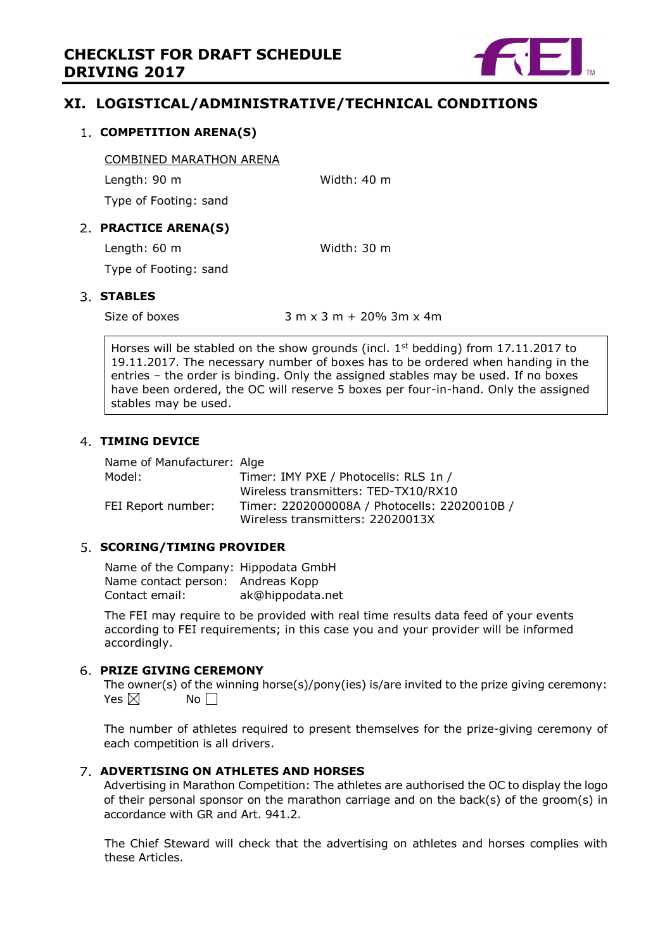

# **XI. LOGISTICAL/ADMINISTRATIVE/TECHNICAL CONDITIONS**

#### <span id="page-11-0"></span>**COMPETITION ARENA(S)**

COMBINED MARATHON ARENA

Length: 90 m Width: 40 m

Type of Footing: sand

# <span id="page-11-1"></span>**PRACTICE ARENA(S)**

Length: 60 m Width: 30 m

Type of Footing: sand

# <span id="page-11-2"></span>**STABLES**

Size of boxes  $3 m x 3 m + 20\% 3m x 4m$ 

Horses will be stabled on the show grounds (incl.  $1<sup>st</sup>$  bedding) from 17.11.2017 to 19.11.2017. The necessary number of boxes has to be ordered when handing in the entries – the order is binding. Only the assigned stables may be used. If no boxes have been ordered, the OC will reserve 5 boxes per four-in-hand. Only the assigned stables may be used.

# <span id="page-11-3"></span>**TIMING DEVICE**

Name of Manufacturer: Alge Model: Timer: IMY PXE / Photocells: RLS 1n / Wireless transmitters: TED-TX10/RX10 FEI Report number: Timer: 2202000008A / Photocells: 22020010B / Wireless transmitters: 22020013X

## <span id="page-11-4"></span>**SCORING/TIMING PROVIDER**

Name of the Company: Hippodata GmbH Name contact person: Andreas Kopp Contact email: ak@hippodata.net

The FEI may require to be provided with real time results data feed of your events according to FEI requirements; in this case you and your provider will be informed accordingly.

## <span id="page-11-5"></span>**PRIZE GIVING CEREMONY**

The owner(s) of the winning horse(s)/pony(ies) is/are invited to the prize giving ceremony: Yes  $\boxtimes$  No  $\Box$ 

The number of athletes required to present themselves for the prize-giving ceremony of each competition is all drivers.

## <span id="page-11-6"></span>**ADVERTISING ON ATHLETES AND HORSES**

Advertising in Marathon Competition: The athletes are authorised the OC to display the logo of their personal sponsor on the marathon carriage and on the back(s) of the groom(s) in accordance with GR and Art. 941.2.

<span id="page-11-7"></span>The Chief Steward will check that the advertising on athletes and horses complies with these Articles.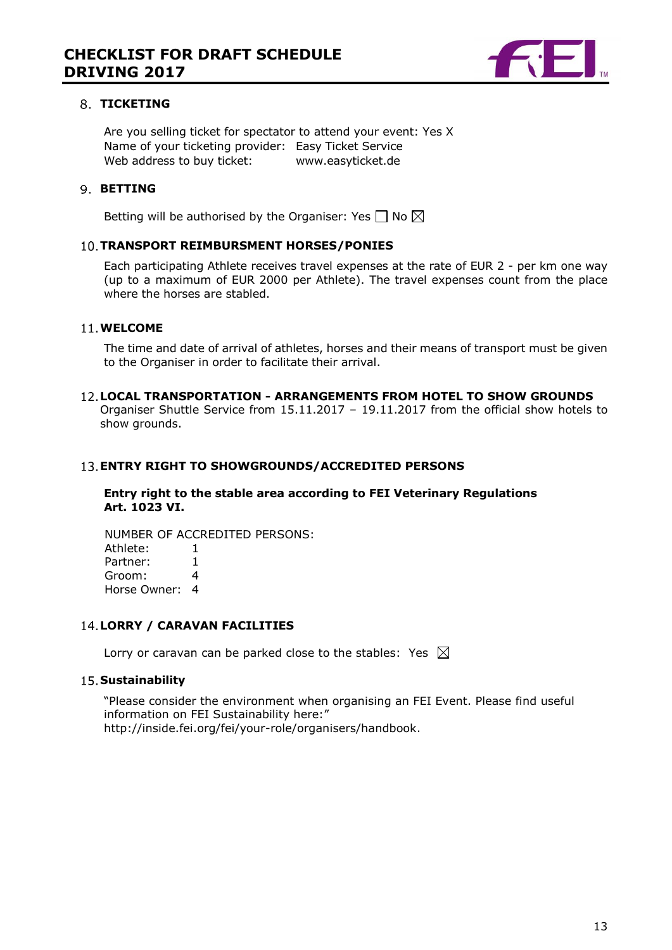

#### 8. TICKETING

Are you selling ticket for spectator to attend your event: Yes X Name of your ticketing provider: Easy Ticket Service Web address to buy ticket: www.easyticket.de

#### <span id="page-12-0"></span>**9. BETTING**

Betting will be authorised by the Organiser: Yes  $\Box$  No  $\boxtimes$ 

#### **TRANSPORT REIMBURSMENT HORSES/PONIES**

Each participating Athlete receives travel expenses at the rate of EUR 2 - per km one way (up to a maximum of EUR 2000 per Athlete). The travel expenses count from the place where the horses are stabled.

#### **WELCOME**

The time and date of arrival of athletes, horses and their means of transport must be given to the Organiser in order to facilitate their arrival.

## **LOCAL TRANSPORTATION - ARRANGEMENTS FROM HOTEL TO SHOW GROUNDS**

<span id="page-12-1"></span>Organiser Shuttle Service from 15.11.2017 – 19.11.2017 from the official show hotels to show grounds.

#### **ENTRY RIGHT TO SHOWGROUNDS/ACCREDITED PERSONS**

#### **Entry right to the stable area according to FEI Veterinary Regulations Art. 1023 VI.**

NUMBER OF ACCREDITED PERSONS: Athlete: 1 Partner: 1<br>Groom: 4 Groom: 4 Horse Owner: 4

# <span id="page-12-2"></span>**LORRY / CARAVAN FACILITIES**

Lorry or caravan can be parked close to the stables: Yes  $\boxtimes$ 

#### **15. Sustainability**

"Please consider the environment when organising an FEI Event. Please find useful information on FEI Sustainability here:" http://inside.fei.org/fei/your-role/organisers/handbook.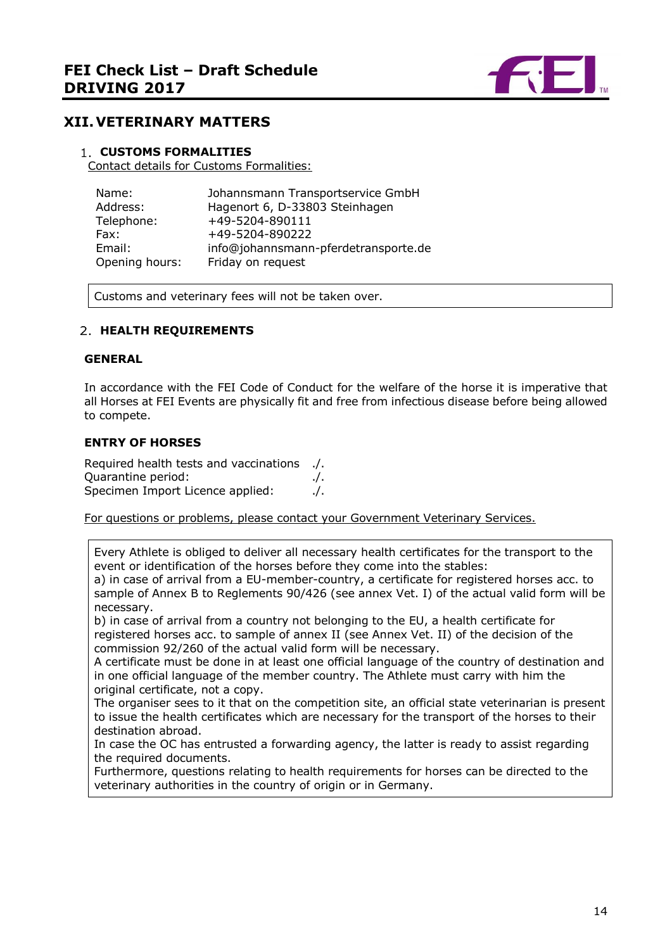

# <span id="page-13-0"></span>**XII.VETERINARY MATTERS**

#### <span id="page-13-1"></span>**CUSTOMS FORMALITIES**

Contact details for Customs Formalities:

| Name:          | Johannsmann Transportservice GmbH    |
|----------------|--------------------------------------|
| Address:       | Hagenort 6, D-33803 Steinhagen       |
| Telephone:     | +49-5204-890111                      |
| Fax:           | +49-5204-890222                      |
| Email:         | info@johannsmann-pferdetransporte.de |
| Opening hours: | Friday on request                    |

Customs and veterinary fees will not be taken over.

#### <span id="page-13-2"></span>**HEALTH REQUIREMENTS**

#### **GENERAL**

In accordance with the FEI Code of Conduct for the welfare of the horse it is imperative that all Horses at FEI Events are physically fit and free from infectious disease before being allowed to compete.

#### **ENTRY OF HORSES**

Required health tests and vaccinations ./. Quarantine period: ./. Specimen Import Licence applied: ./.

For questions or problems, please contact your Government Veterinary Services.

Every Athlete is obliged to deliver all necessary health certificates for the transport to the event or identification of the horses before they come into the stables:

a) in case of arrival from a EU-member-country, a certificate for registered horses acc. to sample of Annex B to Reglements 90/426 (see annex Vet. I) of the actual valid form will be necessary.

b) in case of arrival from a country not belonging to the EU, a health certificate for registered horses acc. to sample of annex II (see Annex Vet. II) of the decision of the commission 92/260 of the actual valid form will be necessary.

A certificate must be done in at least one official language of the country of destination and in one official language of the member country. The Athlete must carry with him the original certificate, not a copy.

The organiser sees to it that on the competition site, an official state veterinarian is present to issue the health certificates which are necessary for the transport of the horses to their destination abroad.

In case the OC has entrusted a forwarding agency, the latter is ready to assist regarding the required documents.

<span id="page-13-3"></span>Furthermore, questions relating to health requirements for horses can be directed to the veterinary authorities in the country of origin or in Germany.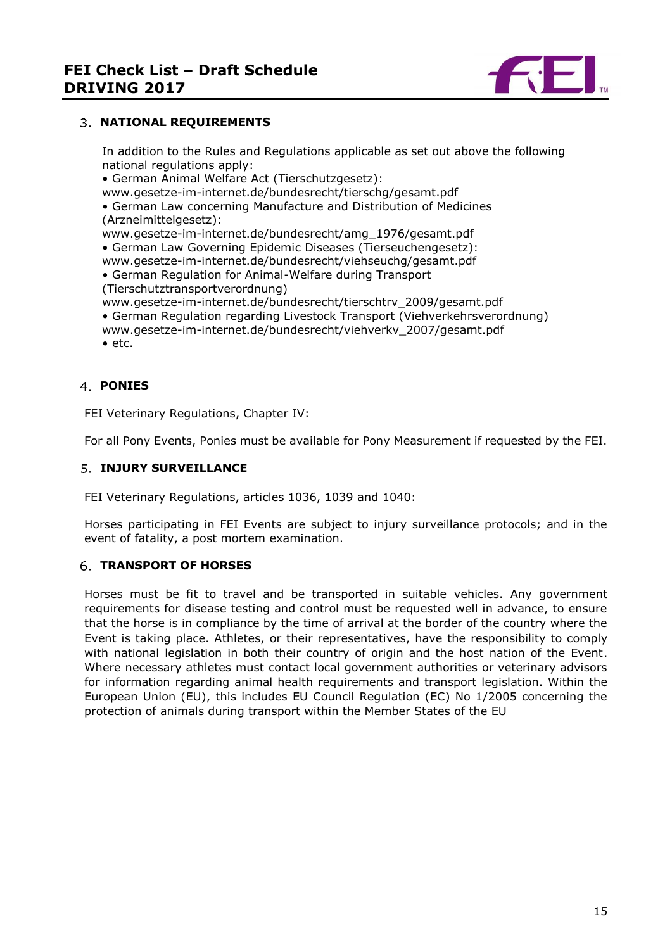

## **NATIONAL REQUIREMENTS**

In addition to the Rules and Regulations applicable as set out above the following national regulations apply: • German Animal Welfare Act (Tierschutzgesetz): www.gesetze-im-internet.de/bundesrecht/tierschg/gesamt.pdf

• German Law concerning Manufacture and Distribution of Medicines (Arzneimittelgesetz):

www.gesetze-im-internet.de/bundesrecht/amg\_1976/gesamt.pdf

• German Law Governing Epidemic Diseases (Tierseuchengesetz):

www.gesetze-im-internet.de/bundesrecht/viehseuchg/gesamt.pdf

• German Regulation for Animal-Welfare during Transport

(Tierschutztransportverordnung)

www.gesetze-im-internet.de/bundesrecht/tierschtrv\_2009/gesamt.pdf

• German Regulation regarding Livestock Transport (Viehverkehrsverordnung)

www.gesetze-im-internet.de/bundesrecht/viehverkv\_2007/gesamt.pdf

• etc.

## <span id="page-14-0"></span>**PONIES**

FEI Veterinary Regulations, Chapter IV:

For all Pony Events, Ponies must be available for Pony Measurement if requested by the FEI.

## <span id="page-14-1"></span>**5. INJURY SURVEILLANCE**

FEI Veterinary Regulations, articles 1036, 1039 and 1040:

Horses participating in FEI Events are subject to injury surveillance protocols; and in the event of fatality, a post mortem examination.

## <span id="page-14-2"></span>**TRANSPORT OF HORSES**

<span id="page-14-3"></span>Horses must be fit to travel and be transported in suitable vehicles. Any government requirements for disease testing and control must be requested well in advance, to ensure that the horse is in compliance by the time of arrival at the border of the country where the Event is taking place. Athletes, or their representatives, have the responsibility to comply with national legislation in both their country of origin and the host nation of the Event. Where necessary athletes must contact local government authorities or veterinary advisors for information regarding animal health requirements and transport legislation. Within the European Union (EU), this includes EU Council Regulation (EC) No 1/2005 concerning the protection of animals during transport within the Member States of the EU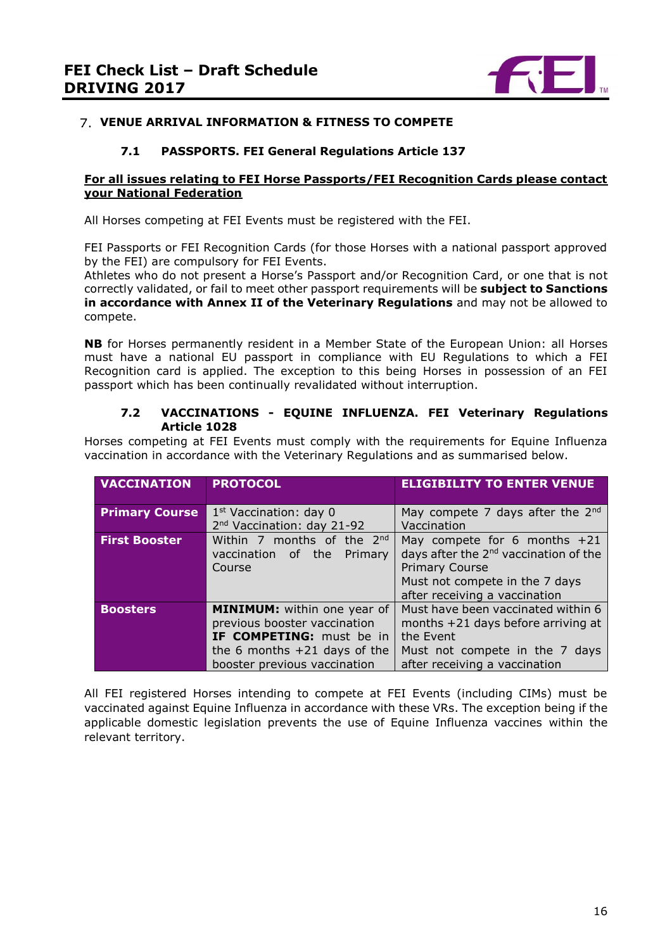

## **VENUE ARRIVAL INFORMATION & FITNESS TO COMPETE**

## **7.1 PASSPORTS. FEI General Regulations Article 137**

#### **For all issues relating to FEI Horse Passports/FEI Recognition Cards please contact your National Federation**

All Horses competing at FEI Events must be registered with the FEI.

FEI Passports or FEI Recognition Cards (for those Horses with a national passport approved by the FEI) are compulsory for FEI Events.

Athletes who do not present a Horse's Passport and/or Recognition Card, or one that is not correctly validated, or fail to meet other passport requirements will be **subject to Sanctions in accordance with Annex II of the Veterinary Regulations** and may not be allowed to compete.

**NB** for Horses permanently resident in a Member State of the European Union: all Horses must have a national EU passport in compliance with EU Regulations to which a FEI Recognition card is applied. The exception to this being Horses in possession of an FEI passport which has been continually revalidated without interruption.

#### **7.2 VACCINATIONS - EQUINE INFLUENZA. FEI Veterinary Regulations Article 1028**

Horses competing at FEI Events must comply with the requirements for Equine Influenza vaccination in accordance with the Veterinary Regulations and as summarised below.

| <b>VACCINATION</b>    | <b>PROTOCOL</b>                                                                                                                                                         | <b>ELIGIBILITY TO ENTER VENUE</b>                                                                                                                                               |
|-----------------------|-------------------------------------------------------------------------------------------------------------------------------------------------------------------------|---------------------------------------------------------------------------------------------------------------------------------------------------------------------------------|
| <b>Primary Course</b> | 1 <sup>st</sup> Vaccination: day 0<br>2 <sup>nd</sup> Vaccination: day 21-92                                                                                            | May compete 7 days after the $2^{nd}$<br>Vaccination                                                                                                                            |
| <b>First Booster</b>  | Within 7 months of the $2^{nd}$<br>vaccination of the<br>Primary<br>Course                                                                                              | May compete for 6 months $+21$<br>days after the 2 <sup>nd</sup> vaccination of the<br><b>Primary Course</b><br>Must not compete in the 7 days<br>after receiving a vaccination |
| <b>Boosters</b>       | <b>MINIMUM:</b> within one year of<br>previous booster vaccination<br><b>IF COMPETING:</b> must be in<br>the 6 months $+21$ days of the<br>booster previous vaccination | Must have been vaccinated within 6<br>months +21 days before arriving at<br>the Event<br>Must not compete in the 7 days<br>after receiving a vaccination                        |

All FEI registered Horses intending to compete at FEI Events (including CIMs) must be vaccinated against Equine Influenza in accordance with these VRs. The exception being if the applicable domestic legislation prevents the use of Equine Influenza vaccines within the relevant territory.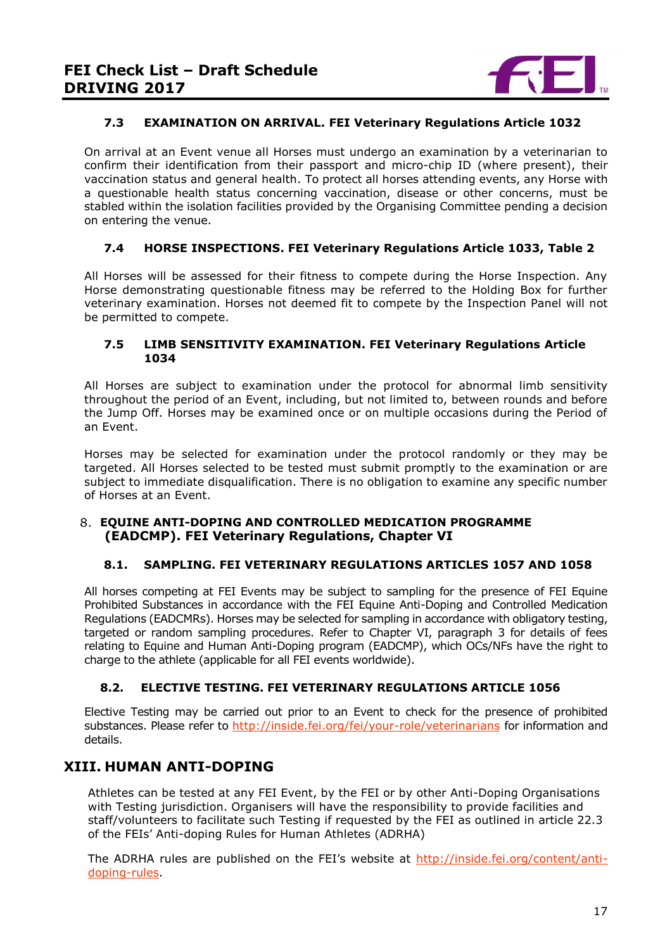

## **7.3 EXAMINATION ON ARRIVAL. FEI Veterinary Regulations Article 1032**

On arrival at an Event venue all Horses must undergo an examination by a veterinarian to confirm their identification from their passport and micro-chip ID (where present), their vaccination status and general health. To protect all horses attending events, any Horse with a questionable health status concerning vaccination, disease or other concerns, must be stabled within the isolation facilities provided by the Organising Committee pending a decision on entering the venue.

# **7.4 HORSE INSPECTIONS. FEI Veterinary Regulations Article 1033, Table 2**

All Horses will be assessed for their fitness to compete during the Horse Inspection. Any Horse demonstrating questionable fitness may be referred to the Holding Box for further veterinary examination. Horses not deemed fit to compete by the Inspection Panel will not be permitted to compete.

#### **7.5 LIMB SENSITIVITY EXAMINATION. FEI Veterinary Regulations Article 1034**

All Horses are subject to examination under the protocol for abnormal limb sensitivity throughout the period of an Event, including, but not limited to, between rounds and before the Jump Off. Horses may be examined once or on multiple occasions during the Period of an Event.

Horses may be selected for examination under the protocol randomly or they may be targeted. All Horses selected to be tested must submit promptly to the examination or are subject to immediate disqualification. There is no obligation to examine any specific number of Horses at an Event.

## <span id="page-16-0"></span>**EQUINE ANTI-DOPING AND CONTROLLED MEDICATION PROGRAMME (EADCMP). FEI Veterinary Regulations, Chapter VI**

## **8.1. SAMPLING. FEI VETERINARY REGULATIONS ARTICLES 1057 AND 1058**

All horses competing at FEI Events may be subject to sampling for the presence of FEI Equine Prohibited Substances in accordance with the FEI Equine Anti-Doping and Controlled Medication Regulations (EADCMRs). Horses may be selected for sampling in accordance with obligatory testing, targeted or random sampling procedures. Refer to Chapter VI, paragraph 3 for details of fees relating to Equine and Human Anti-Doping program (EADCMP), which OCs/NFs have the right to charge to the athlete (applicable for all FEI events worldwide).

## **8.2. ELECTIVE TESTING. FEI VETERINARY REGULATIONS ARTICLE 1056**

Elective Testing may be carried out prior to an Event to check for the presence of prohibited substances. Please refer to<http://inside.fei.org/fei/your-role/veterinarians> for information and details.

# <span id="page-16-1"></span>**XIII. HUMAN ANTI-DOPING**

Athletes can be tested at any FEI Event, by the FEI or by other Anti-Doping Organisations with Testing jurisdiction. Organisers will have the responsibility to provide facilities and staff/volunteers to facilitate such Testing if requested by the FEI as outlined in article 22.3 of the FEIs' Anti-doping Rules for Human Athletes (ADRHA)

The ADRHA rules are published on the FEI's website at [http://inside.fei.org/content/anti](http://inside.fei.org/content/anti-doping-rules)[doping-rules.](http://inside.fei.org/content/anti-doping-rules)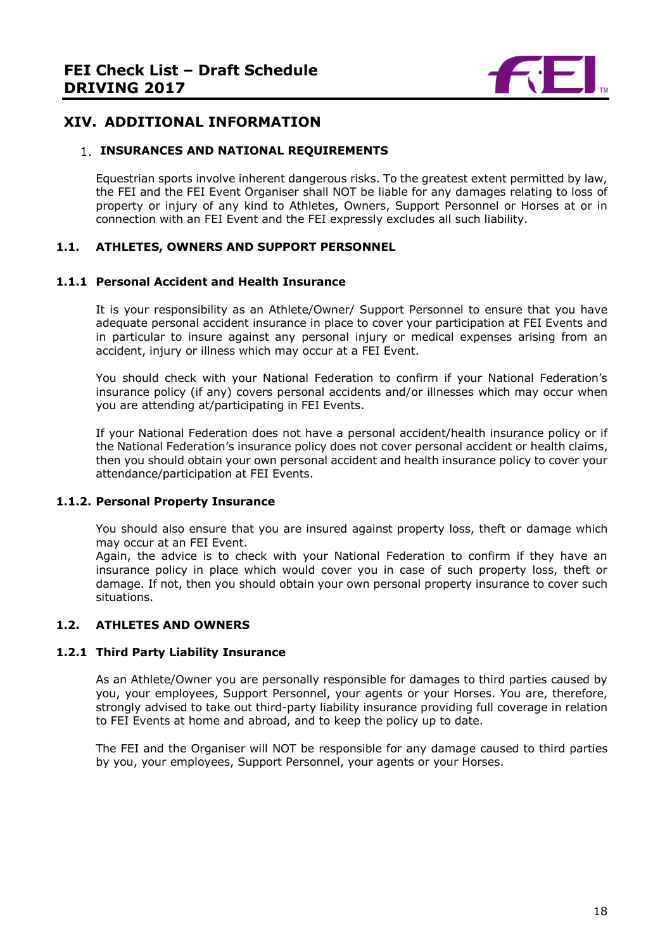

# <span id="page-17-0"></span>**XIV. ADDITIONAL INFORMATION**

#### <span id="page-17-1"></span>**1. INSURANCES AND NATIONAL REQUIREMENTS**

Equestrian sports involve inherent dangerous risks. To the greatest extent permitted by law, the FEI and the FEI Event Organiser shall NOT be liable for any damages relating to loss of property or injury of any kind to Athletes, Owners, Support Personnel or Horses at or in connection with an FEI Event and the FEI expressly excludes all such liability.

#### **1.1. ATHLETES, OWNERS AND SUPPORT PERSONNEL**

#### **1.1.1 Personal Accident and Health Insurance**

It is your responsibility as an Athlete/Owner/ Support Personnel to ensure that you have adequate personal accident insurance in place to cover your participation at FEI Events and in particular to insure against any personal injury or medical expenses arising from an accident, injury or illness which may occur at a FEI Event.

You should check with your National Federation to confirm if your National Federation's insurance policy (if any) covers personal accidents and/or illnesses which may occur when you are attending at/participating in FEI Events.

If your National Federation does not have a personal accident/health insurance policy or if the National Federation's insurance policy does not cover personal accident or health claims, then you should obtain your own personal accident and health insurance policy to cover your attendance/participation at FEI Events.

#### **1.1.2. Personal Property Insurance**

You should also ensure that you are insured against property loss, theft or damage which may occur at an FEI Event.

Again, the advice is to check with your National Federation to confirm if they have an insurance policy in place which would cover you in case of such property loss, theft or damage. If not, then you should obtain your own personal property insurance to cover such situations.

## **1.2. ATHLETES AND OWNERS**

#### **1.2.1 Third Party Liability Insurance**

As an Athlete/Owner you are personally responsible for damages to third parties caused by you, your employees, Support Personnel, your agents or your Horses. You are, therefore, strongly advised to take out third-party liability insurance providing full coverage in relation to FEI Events at home and abroad, and to keep the policy up to date.

The FEI and the Organiser will NOT be responsible for any damage caused to third parties by you, your employees, Support Personnel, your agents or your Horses.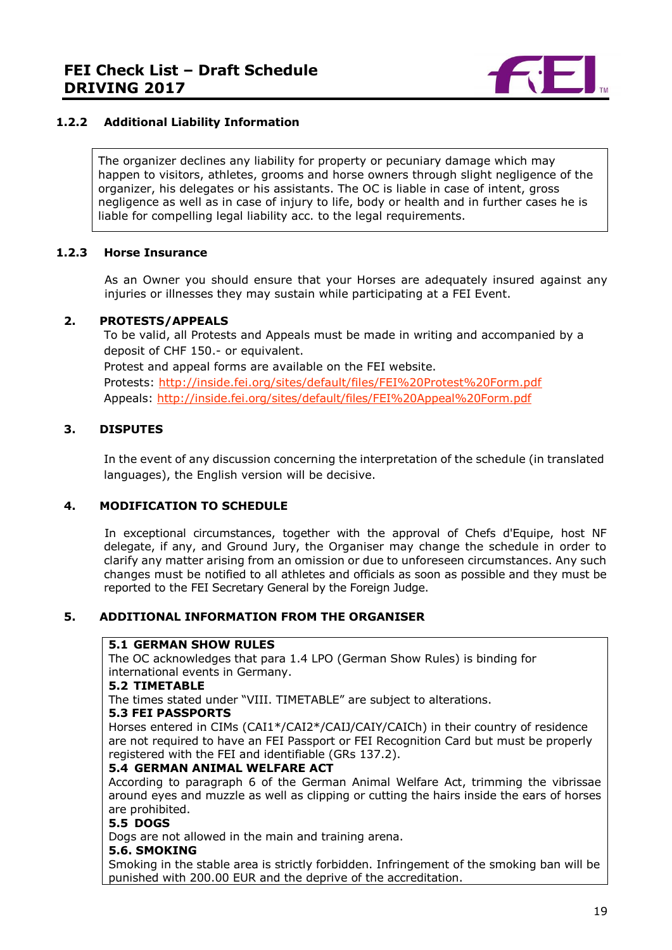

## **1.2.2 Additional Liability Information**

The organizer declines any liability for property or pecuniary damage which may happen to visitors, athletes, grooms and horse owners through slight negligence of the organizer, his delegates or his assistants. The OC is liable in case of intent, gross negligence as well as in case of injury to life, body or health and in further cases he is liable for compelling legal liability acc. to the legal requirements.

## **1.2.3 Horse Insurance**

As an Owner you should ensure that your Horses are adequately insured against any injuries or illnesses they may sustain while participating at a FEI Event.

#### <span id="page-18-0"></span>**2. PROTESTS/APPEALS**

To be valid, all Protests and Appeals must be made in writing and accompanied by a deposit of CHF 150.- or equivalent. Protest and appeal forms are available on the FEI website. Protests:<http://inside.fei.org/sites/default/files/FEI%20Protest%20Form.pdf> Appeals:<http://inside.fei.org/sites/default/files/FEI%20Appeal%20Form.pdf>

## <span id="page-18-1"></span>**3. DISPUTES**

In the event of any discussion concerning the interpretation of the schedule (in translated languages), the English version will be decisive.

## <span id="page-18-2"></span>**4. MODIFICATION TO SCHEDULE**

In exceptional circumstances, together with the approval of Chefs d'Equipe, host NF delegate, if any, and Ground Jury, the Organiser may change the schedule in order to clarify any matter arising from an omission or due to unforeseen circumstances. Any such changes must be notified to all athletes and officials as soon as possible and they must be reported to the FEI Secretary General by the Foreign Judge.

## <span id="page-18-3"></span>**5. ADDITIONAL INFORMATION FROM THE ORGANISER**

#### **5.1 GERMAN SHOW RULES**

The OC acknowledges that para 1.4 LPO (German Show Rules) is binding for international events in Germany.

#### **5.2 TIMETABLE**

The times stated under "VIII. TIMETABLE" are subject to alterations.

#### **5.3 FEI PASSPORTS**

Horses entered in CIMs (CAI1\*/CAI2\*/CAIJ/CAIY/CAICh) in their country of residence are not required to have an FEI Passport or FEI Recognition Card but must be properly registered with the FEI and identifiable (GRs 137.2).

#### **5.4 GERMAN ANIMAL WELFARE ACT**

According to paragraph 6 of the German Animal Welfare Act, trimming the vibrissae around eyes and muzzle as well as clipping or cutting the hairs inside the ears of horses are prohibited.

#### **5.5 DOGS**

Dogs are not allowed in the main and training arena.

#### **5.6. SMOKING**

Smoking in the stable area is strictly forbidden. Infringement of the smoking ban will be punished with 200.00 EUR and the deprive of the accreditation.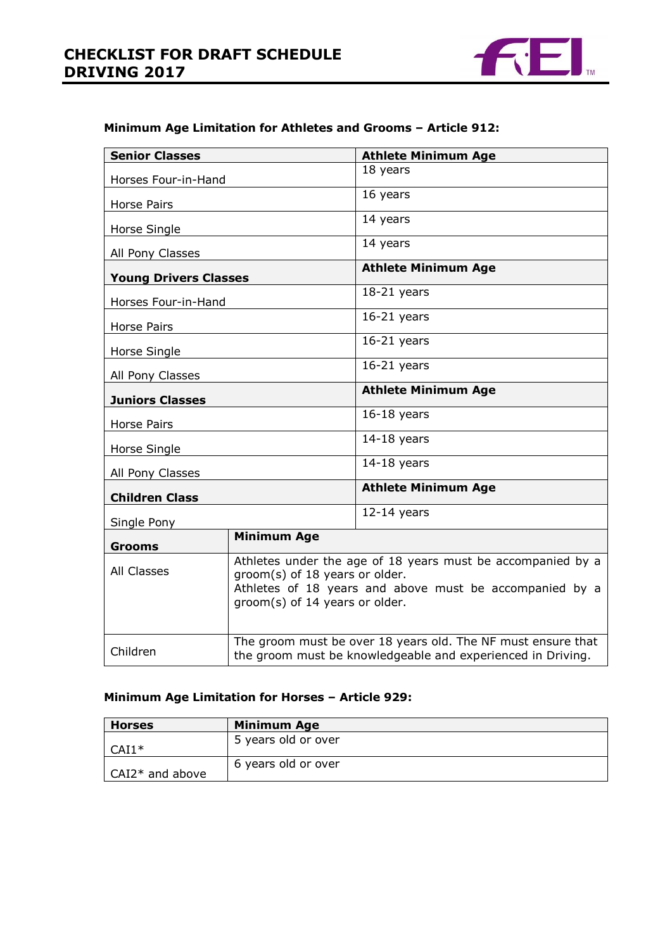

## **Minimum Age Limitation for Athletes and Grooms – Article 912:**

| <b>Senior Classes</b>         |                                                                                                                                                                                            | <b>Athlete Minimum Age</b> |  |
|-------------------------------|--------------------------------------------------------------------------------------------------------------------------------------------------------------------------------------------|----------------------------|--|
| Horses Four-in-Hand           |                                                                                                                                                                                            | 18 years                   |  |
|                               |                                                                                                                                                                                            | 16 years                   |  |
| Horse Pairs                   |                                                                                                                                                                                            |                            |  |
| Horse Single                  |                                                                                                                                                                                            | 14 years                   |  |
| All Pony Classes              |                                                                                                                                                                                            | 14 years                   |  |
| <b>Young Drivers Classes</b>  |                                                                                                                                                                                            | <b>Athlete Minimum Age</b> |  |
| Horses Four-in-Hand           |                                                                                                                                                                                            | $18-21$ years              |  |
| <b>Horse Pairs</b>            |                                                                                                                                                                                            | $16-21$ years              |  |
| Horse Single                  |                                                                                                                                                                                            | $16-21$ years              |  |
| All Pony Classes              | $16-21$ years                                                                                                                                                                              |                            |  |
| <b>Juniors Classes</b>        |                                                                                                                                                                                            | <b>Athlete Minimum Age</b> |  |
| <b>Horse Pairs</b>            | $16-18$ years                                                                                                                                                                              |                            |  |
| $14-18$ years<br>Horse Single |                                                                                                                                                                                            |                            |  |
| All Pony Classes              | $14-18$ years                                                                                                                                                                              |                            |  |
| <b>Children Class</b>         | <b>Athlete Minimum Age</b>                                                                                                                                                                 |                            |  |
| Single Pony                   | $12-14$ years                                                                                                                                                                              |                            |  |
| <b>Grooms</b>                 | <b>Minimum Age</b>                                                                                                                                                                         |                            |  |
| All Classes                   | Athletes under the age of 18 years must be accompanied by a<br>groom(s) of 18 years or older.<br>Athletes of 18 years and above must be accompanied by a<br>groom(s) of 14 years or older. |                            |  |
| Children                      | The groom must be over 18 years old. The NF must ensure that<br>the groom must be knowledgeable and experienced in Driving.                                                                |                            |  |

# **Minimum Age Limitation for Horses – Article 929:**

| <b>Horses</b>     | <b>Minimum Age</b>  |
|-------------------|---------------------|
| $CAI1*$           | 5 years old or over |
| $CAI2*$ and above | 6 years old or over |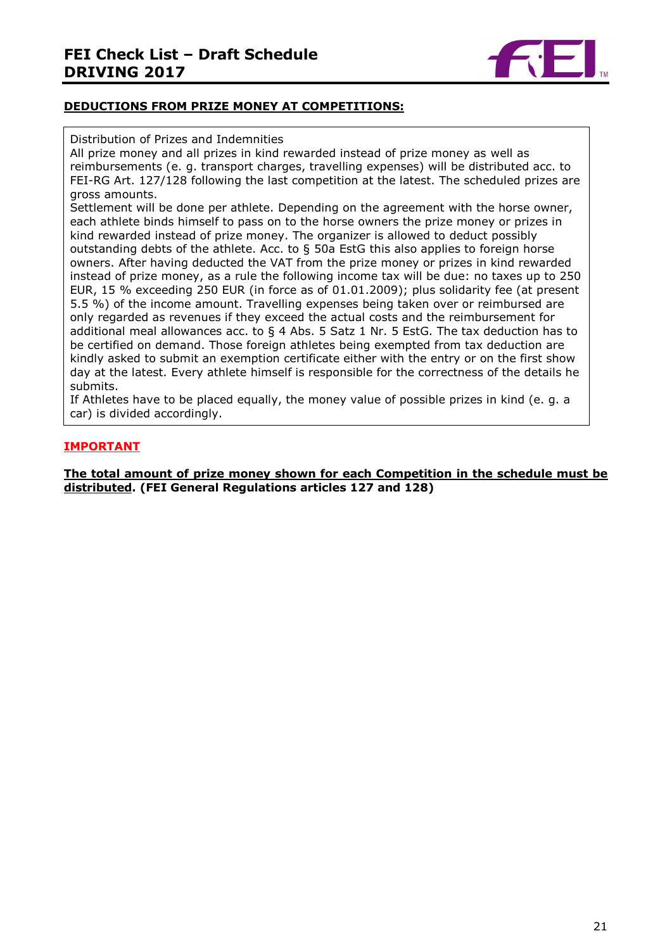

# **DEDUCTIONS FROM PRIZE MONEY AT COMPETITIONS:**

#### Distribution of Prizes and Indemnities

All prize money and all prizes in kind rewarded instead of prize money as well as reimbursements (e. g. transport charges, travelling expenses) will be distributed acc. to FEI-RG Art. 127/128 following the last competition at the latest. The scheduled prizes are gross amounts.

Settlement will be done per athlete. Depending on the agreement with the horse owner, each athlete binds himself to pass on to the horse owners the prize money or prizes in kind rewarded instead of prize money. The organizer is allowed to deduct possibly outstanding debts of the athlete. Acc. to § 50a EstG this also applies to foreign horse owners. After having deducted the VAT from the prize money or prizes in kind rewarded instead of prize money, as a rule the following income tax will be due: no taxes up to 250 EUR, 15 % exceeding 250 EUR (in force as of 01.01.2009); plus solidarity fee (at present 5.5 %) of the income amount. Travelling expenses being taken over or reimbursed are only regarded as revenues if they exceed the actual costs and the reimbursement for additional meal allowances acc. to  $\S$  4 Abs. 5 Satz 1 Nr. 5 EstG. The tax deduction has to be certified on demand. Those foreign athletes being exempted from tax deduction are kindly asked to submit an exemption certificate either with the entry or on the first show day at the latest. Every athlete himself is responsible for the correctness of the details he submits.

If Athletes have to be placed equally, the money value of possible prizes in kind (e. g. a car) is divided accordingly.

## **IMPORTANT**

**The total amount of prize money shown for each Competition in the schedule must be distributed. (FEI General Regulations articles 127 and 128)**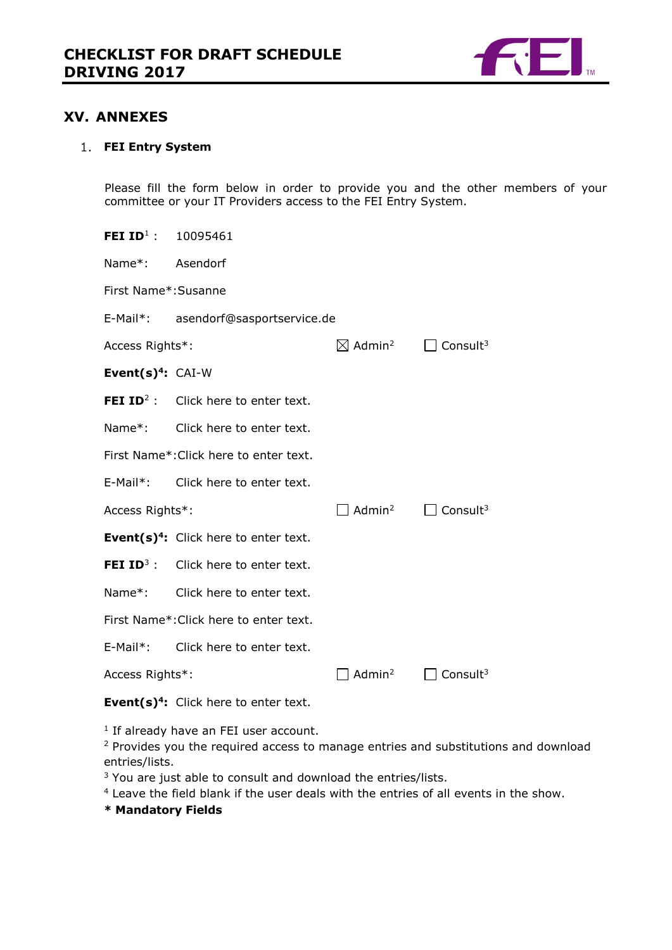

# <span id="page-21-0"></span>**XV. ANNEXES**

#### <span id="page-21-1"></span>**FEI Entry System**

Please fill the form below in order to provide you and the other members of your committee or your IT Providers access to the FEI Entry System.

| Name*: Asendorf                        |                                                                                                                                                                                                                                                                                                                                                                                                                                                                         |                                                                                                   |  |
|----------------------------------------|-------------------------------------------------------------------------------------------------------------------------------------------------------------------------------------------------------------------------------------------------------------------------------------------------------------------------------------------------------------------------------------------------------------------------------------------------------------------------|---------------------------------------------------------------------------------------------------|--|
|                                        |                                                                                                                                                                                                                                                                                                                                                                                                                                                                         |                                                                                                   |  |
|                                        |                                                                                                                                                                                                                                                                                                                                                                                                                                                                         |                                                                                                   |  |
|                                        |                                                                                                                                                                                                                                                                                                                                                                                                                                                                         |                                                                                                   |  |
|                                        |                                                                                                                                                                                                                                                                                                                                                                                                                                                                         |                                                                                                   |  |
|                                        |                                                                                                                                                                                                                                                                                                                                                                                                                                                                         |                                                                                                   |  |
|                                        |                                                                                                                                                                                                                                                                                                                                                                                                                                                                         |                                                                                                   |  |
| First Name*: Click here to enter text. |                                                                                                                                                                                                                                                                                                                                                                                                                                                                         |                                                                                                   |  |
|                                        |                                                                                                                                                                                                                                                                                                                                                                                                                                                                         |                                                                                                   |  |
|                                        | Admin <sup>2</sup>                                                                                                                                                                                                                                                                                                                                                                                                                                                      | $\Box$ Consult <sup>3</sup>                                                                       |  |
|                                        |                                                                                                                                                                                                                                                                                                                                                                                                                                                                         |                                                                                                   |  |
|                                        |                                                                                                                                                                                                                                                                                                                                                                                                                                                                         |                                                                                                   |  |
|                                        |                                                                                                                                                                                                                                                                                                                                                                                                                                                                         |                                                                                                   |  |
| First Name*: Click here to enter text. |                                                                                                                                                                                                                                                                                                                                                                                                                                                                         |                                                                                                   |  |
|                                        |                                                                                                                                                                                                                                                                                                                                                                                                                                                                         |                                                                                                   |  |
|                                        | Admin <sup>2</sup>                                                                                                                                                                                                                                                                                                                                                                                                                                                      | Consult <sup>3</sup>                                                                              |  |
|                                        | FEI ID <sup>1</sup> : $10095461$<br>First Name*: Susanne<br>Access Rights*:<br>Event $(s)^4$ : CAI-W<br><b>FEI ID</b> <sup>2</sup> : Click here to enter text.<br>Name*: Click here to enter text.<br>E-Mail*: Click here to enter text.<br>Access Rights*:<br>Event(s) <sup>4</sup> : Click here to enter text.<br><b>FEI ID</b> <sup>3</sup> : Click here to enter text.<br>Name*: Click here to enter text.<br>E-Mail*: Click here to enter text.<br>Access Rights*: | E-Mail*: asendorf@sasportservice.de<br>$\boxtimes$ Admin <sup>2</sup> $\Box$ Consult <sup>3</sup> |  |

**Event(s)<sup>4</sup> :** Click here to enter text.

<sup>1</sup> If already have an FEI user account.

<sup>2</sup> Provides you the required access to manage entries and substitutions and download entries/lists.

<sup>3</sup> You are just able to consult and download the entries/lists.

<sup>4</sup> Leave the field blank if the user deals with the entries of all events in the show.

**\* Mandatory Fields**